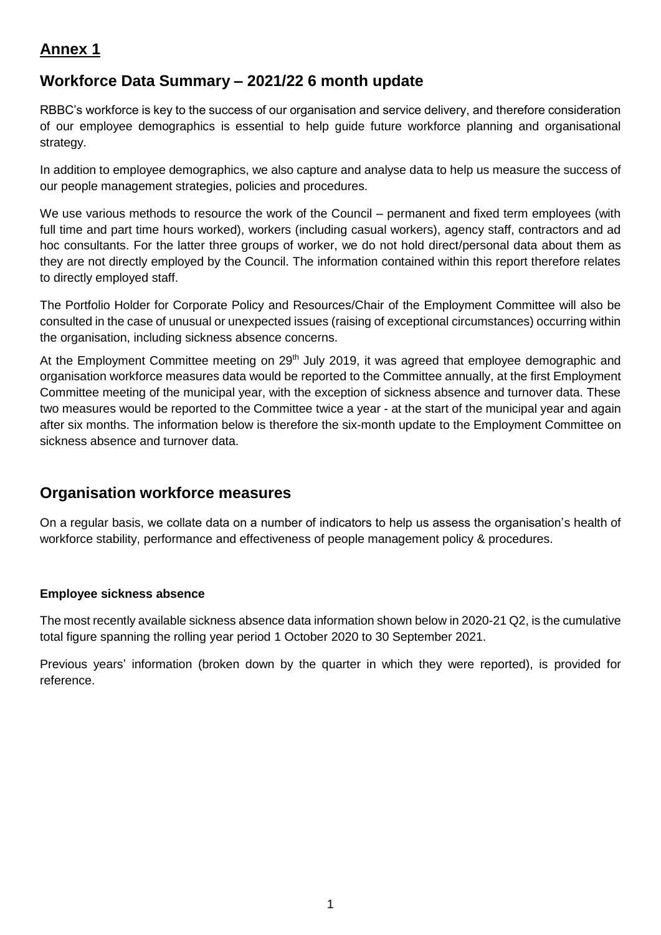# **Annex 1**

## **Workforce Data Summary – 2021/22 6 month update**

RBBC's workforce is key to the success of our organisation and service delivery, and therefore consideration of our employee demographics is essential to help guide future workforce planning and organisational strategy.

In addition to employee demographics, we also capture and analyse data to help us measure the success of our people management strategies, policies and procedures.

We use various methods to resource the work of the Council – permanent and fixed term employees (with full time and part time hours worked), workers (including casual workers), agency staff, contractors and ad hoc consultants. For the latter three groups of worker, we do not hold direct/personal data about them as they are not directly employed by the Council. The information contained within this report therefore relates to directly employed staff.

The Portfolio Holder for Corporate Policy and Resources/Chair of the Employment Committee will also be consulted in the case of unusual or unexpected issues (raising of exceptional circumstances) occurring within the organisation, including sickness absence concerns.

At the Employment Committee meeting on 29<sup>th</sup> July 2019, it was agreed that employee demographic and organisation workforce measures data would be reported to the Committee annually, at the first Employment Committee meeting of the municipal year, with the exception of sickness absence and turnover data. These two measures would be reported to the Committee twice a year - at the start of the municipal year and again after six months. The information below is therefore the six-month update to the Employment Committee on sickness absence and turnover data.

## **Organisation workforce measures**

On a regular basis, we collate data on a number of indicators to help us assess the organisation's health of workforce stability, performance and effectiveness of people management policy & procedures.

### **Employee sickness absence**

The most recently available sickness absence data information shown below in 2020-21 Q2, is the cumulative total figure spanning the rolling year period 1 October 2020 to 30 September 2021.

Previous years' information (broken down by the quarter in which they were reported), is provided for reference.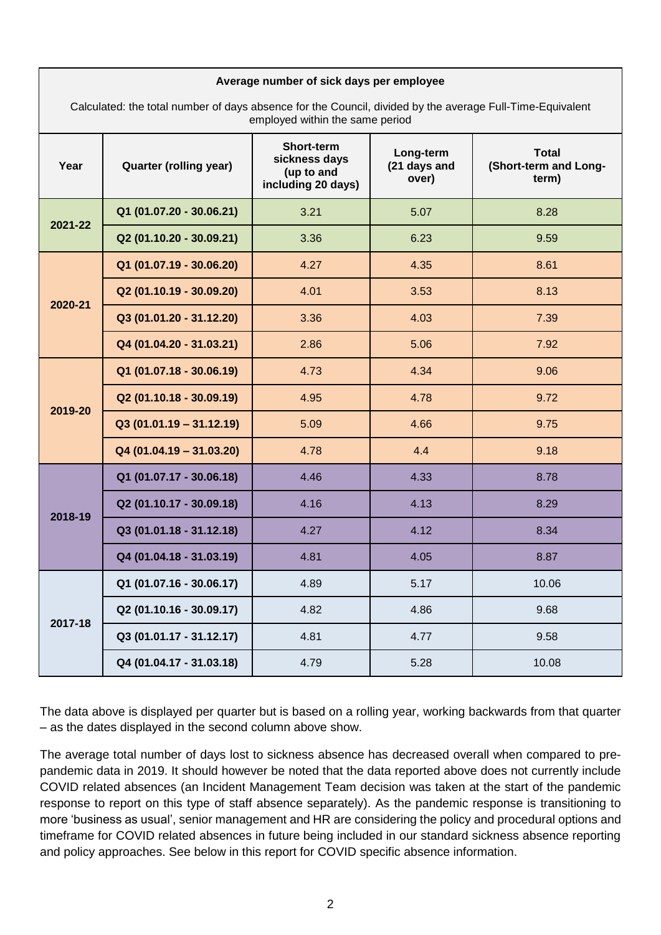| ago nambor or sion aays por omployee<br>Calculated: the total number of days absence for the Council, divided by the average Full-Time-Equivalent<br>employed within the same period |                           |                                                                 |                                    |                                                |  |  |
|--------------------------------------------------------------------------------------------------------------------------------------------------------------------------------------|---------------------------|-----------------------------------------------------------------|------------------------------------|------------------------------------------------|--|--|
| Year                                                                                                                                                                                 | Quarter (rolling year)    | Short-term<br>sickness days<br>(up to and<br>including 20 days) | Long-term<br>(21 days and<br>over) | <b>Total</b><br>(Short-term and Long-<br>term) |  |  |
| 2021-22                                                                                                                                                                              | Q1 (01.07.20 - 30.06.21)  | 3.21                                                            | 5.07                               | 8.28                                           |  |  |
|                                                                                                                                                                                      | Q2 (01.10.20 - 30.09.21)  | 3.36                                                            | 6.23                               | 9.59                                           |  |  |
| 2020-21                                                                                                                                                                              | Q1 (01.07.19 - 30.06.20)  | 4.27                                                            | 4.35                               | 8.61                                           |  |  |
|                                                                                                                                                                                      | Q2 (01.10.19 - 30.09.20)  | 4.01                                                            | 3.53                               | 8.13                                           |  |  |
|                                                                                                                                                                                      | Q3 (01.01.20 - 31.12.20)  | 3.36                                                            | 4.03                               | 7.39                                           |  |  |
|                                                                                                                                                                                      | Q4 (01.04.20 - 31.03.21)  | 2.86                                                            | 5.06                               | 7.92                                           |  |  |
| 2019-20                                                                                                                                                                              | Q1 (01.07.18 - 30.06.19)  | 4.73                                                            | 4.34                               | 9.06                                           |  |  |
|                                                                                                                                                                                      | Q2 (01.10.18 - 30.09.19)  | 4.95                                                            | 4.78                               | 9.72                                           |  |  |
|                                                                                                                                                                                      | $Q3(01.01.19 - 31.12.19)$ | 5.09                                                            | 4.66                               | 9.75                                           |  |  |
|                                                                                                                                                                                      | $Q4(01.04.19 - 31.03.20)$ | 4.78                                                            | 4.4                                | 9.18                                           |  |  |
| 2018-19                                                                                                                                                                              | Q1 (01.07.17 - 30.06.18)  | 4.46                                                            | 4.33                               | 8.78                                           |  |  |
|                                                                                                                                                                                      | Q2 (01.10.17 - 30.09.18)  | 4.16                                                            | 4.13                               | 8.29                                           |  |  |
|                                                                                                                                                                                      | Q3 (01.01.18 - 31.12.18)  | 4.27                                                            | 4.12                               | 8.34                                           |  |  |
|                                                                                                                                                                                      | Q4 (01.04.18 - 31.03.19)  | 4.81                                                            | 4.05                               | 8.87                                           |  |  |
| 2017-18                                                                                                                                                                              | Q1 (01.07.16 - 30.06.17)  | 4.89                                                            | 5.17                               | 10.06                                          |  |  |
|                                                                                                                                                                                      | Q2 (01.10.16 - 30.09.17)  | 4.82                                                            | 4.86                               | 9.68                                           |  |  |
|                                                                                                                                                                                      | Q3 (01.01.17 - 31.12.17)  | 4.81                                                            | 4.77                               | 9.58                                           |  |  |
|                                                                                                                                                                                      | Q4 (01.04.17 - 31.03.18)  | 4.79                                                            | 5.28                               | 10.08                                          |  |  |

**Average number of sick days per employee**

The data above is displayed per quarter but is based on a rolling year, working backwards from that quarter – as the dates displayed in the second column above show.

The average total number of days lost to sickness absence has decreased overall when compared to prepandemic data in 2019. It should however be noted that the data reported above does not currently include COVID related absences (an Incident Management Team decision was taken at the start of the pandemic response to report on this type of staff absence separately). As the pandemic response is transitioning to more 'business as usual', senior management and HR are considering the policy and procedural options and timeframe for COVID related absences in future being included in our standard sickness absence reporting and policy approaches. See below in this report for COVID specific absence information.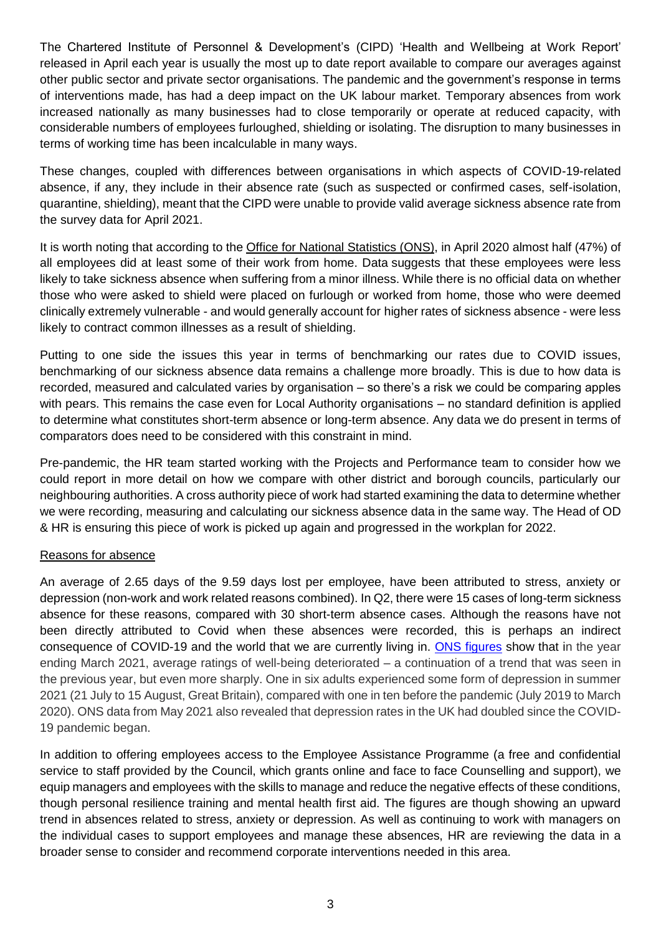The Chartered Institute of Personnel & Development's (CIPD) 'Health and Wellbeing at Work Report' released in April each year is usually the most up to date report available to compare our averages against other public sector and private sector organisations. The pandemic and the government's response in terms of interventions made, has had a deep impact on the UK labour market. Temporary absences from work increased nationally as many businesses had to close temporarily or operate at reduced capacity, with considerable numbers of employees furloughed, shielding or isolating. The disruption to many businesses in terms of working time has been incalculable in many ways.

These changes, coupled with differences between organisations in which aspects of COVID-19-related absence, if any, they include in their absence rate (such as suspected or confirmed cases, self-isolation, quarantine, shielding), meant that the CIPD were unable to provide valid average sickness absence rate from the survey data for April 2021.

It is worth noting that according to the [Office for National Statistics](https://www.ons.gov.uk/employmentandlabourmarket/peopleinwork/employmentandemployeetypes/bulletins/coronavirusandhomeworkingintheuk/april2020) (ONS), in April 2020 almost half (47%) of all employees did at least some of their work from home. Data suggests that these employees were less likely to take sickness absence when suffering from a minor illness. While there is no official data on whether those who were asked to shield were placed on furlough or worked from home, those who were deemed clinically extremely vulnerable - and would generally account for higher rates of sickness absence - were less likely to contract common illnesses as a result of shielding.

Putting to one side the issues this year in terms of benchmarking our rates due to COVID issues, benchmarking of our sickness absence data remains a challenge more broadly. This is due to how data is recorded, measured and calculated varies by organisation – so there's a risk we could be comparing apples with pears. This remains the case even for Local Authority organisations – no standard definition is applied to determine what constitutes short-term absence or long-term absence. Any data we do present in terms of comparators does need to be considered with this constraint in mind.

Pre-pandemic, the HR team started working with the Projects and Performance team to consider how we could report in more detail on how we compare with other district and borough councils, particularly our neighbouring authorities. A cross authority piece of work had started examining the data to determine whether we were recording, measuring and calculating our sickness absence data in the same way. The Head of OD & HR is ensuring this piece of work is picked up again and progressed in the workplan for 2022.

#### Reasons for absence

An average of 2.65 days of the 9.59 days lost per employee, have been attributed to stress, anxiety or depression (non-work and work related reasons combined). In Q2, there were 15 cases of long-term sickness absence for these reasons, compared with 30 short-term absence cases. Although the reasons have not been directly attributed to Covid when these absences were recorded, this is perhaps an indirect consequence of COVID-19 and the world that we are currently living in. [ONS figures](https://www.ons.gov.uk/peoplepopulationandcommunity/healthandsocialcare/conditionsanddiseases/articles/coronaviruscovid19latestinsights/wellbeing) show that in the year ending March 2021, average ratings of well-being deteriorated – a continuation of a trend that was seen in the previous year, but even more sharply. One in six adults experienced some form of depression in summer 2021 (21 July to 15 August, Great Britain), compared with one in ten before the pandemic (July 2019 to March 2020). ONS data from May 2021 also revealed that depression rates in the UK had doubled since the COVID-19 pandemic began.

In addition to offering employees access to the Employee Assistance Programme (a free and confidential service to staff provided by the Council, which grants online and face to face Counselling and support), we equip managers and employees with the skills to manage and reduce the negative effects of these conditions, though personal resilience training and mental health first aid. The figures are though showing an upward trend in absences related to stress, anxiety or depression. As well as continuing to work with managers on the individual cases to support employees and manage these absences, HR are reviewing the data in a broader sense to consider and recommend corporate interventions needed in this area.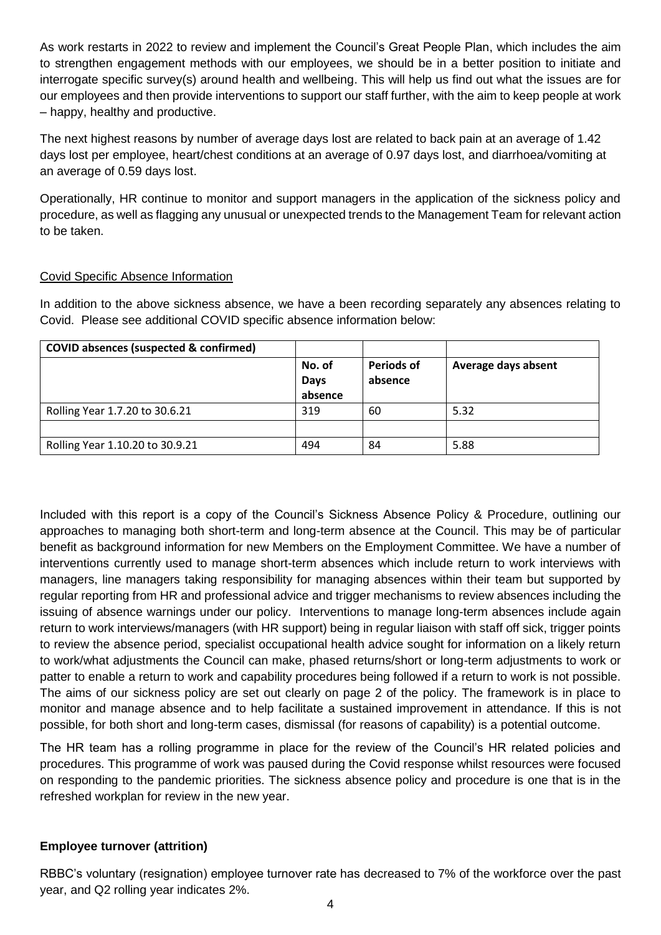As work restarts in 2022 to review and implement the Council's Great People Plan, which includes the aim to strengthen engagement methods with our employees, we should be in a better position to initiate and interrogate specific survey(s) around health and wellbeing. This will help us find out what the issues are for our employees and then provide interventions to support our staff further, with the aim to keep people at work – happy, healthy and productive.

The next highest reasons by number of average days lost are related to back pain at an average of 1.42 days lost per employee, heart/chest conditions at an average of 0.97 days lost, and diarrhoea/vomiting at an average of 0.59 days lost.

Operationally, HR continue to monitor and support managers in the application of the sickness policy and procedure, as well as flagging any unusual or unexpected trends to the Management Team for relevant action to be taken.

#### Covid Specific Absence Information

In addition to the above sickness absence, we have a been recording separately any absences relating to Covid. Please see additional COVID specific absence information below:

| <b>COVID absences (suspected &amp; confirmed)</b> |                                  |                              |                     |
|---------------------------------------------------|----------------------------------|------------------------------|---------------------|
|                                                   | No. of<br><b>Days</b><br>absence | <b>Periods of</b><br>absence | Average days absent |
| Rolling Year 1.7.20 to 30.6.21                    | 319                              | 60                           | 5.32                |
|                                                   |                                  |                              |                     |
| Rolling Year 1.10.20 to 30.9.21                   | 494                              | 84                           | 5.88                |

Included with this report is a copy of the Council's Sickness Absence Policy & Procedure, outlining our approaches to managing both short-term and long-term absence at the Council. This may be of particular benefit as background information for new Members on the Employment Committee. We have a number of interventions currently used to manage short-term absences which include return to work interviews with managers, line managers taking responsibility for managing absences within their team but supported by regular reporting from HR and professional advice and trigger mechanisms to review absences including the issuing of absence warnings under our policy. Interventions to manage long-term absences include again return to work interviews/managers (with HR support) being in regular liaison with staff off sick, trigger points to review the absence period, specialist occupational health advice sought for information on a likely return to work/what adjustments the Council can make, phased returns/short or long-term adjustments to work or patter to enable a return to work and capability procedures being followed if a return to work is not possible. The aims of our sickness policy are set out clearly on page 2 of the policy. The framework is in place to monitor and manage absence and to help facilitate a sustained improvement in attendance. If this is not possible, for both short and long-term cases, dismissal (for reasons of capability) is a potential outcome.

The HR team has a rolling programme in place for the review of the Council's HR related policies and procedures. This programme of work was paused during the Covid response whilst resources were focused on responding to the pandemic priorities. The sickness absence policy and procedure is one that is in the refreshed workplan for review in the new year.

#### **Employee turnover (attrition)**

RBBC's voluntary (resignation) employee turnover rate has decreased to 7% of the workforce over the past year, and Q2 rolling year indicates 2%.